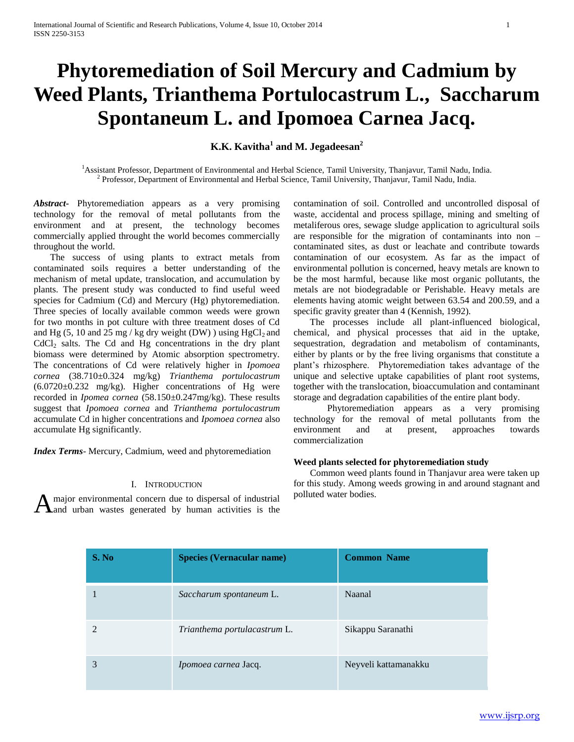# **Phytoremediation of Soil Mercury and Cadmium by Weed Plants, Trianthema Portulocastrum L., Saccharum Spontaneum L. and Ipomoea Carnea Jacq.**

**K.K. Kavitha<sup>1</sup> and M. Jegadeesan<sup>2</sup>**

<sup>1</sup>Assistant Professor, Department of Environmental and Herbal Science, Tamil University, Thanjavur, Tamil Nadu, India. <sup>2</sup> Professor, Department of Environmental and Herbal Science, Tamil University, Thanjavur, Tamil Nadu, India.

*Abstract***-** Phytoremediation appears as a very promising technology for the removal of metal pollutants from the environment and at present, the technology becomes commercially applied throught the world becomes commercially throughout the world.

 The success of using plants to extract metals from contaminated soils requires a better understanding of the mechanism of metal update, translocation, and accumulation by plants. The present study was conducted to find useful weed species for Cadmium (Cd) and Mercury (Hg) phytoremediation. Three species of locally available common weeds were grown for two months in pot culture with three treatment doses of Cd and Hg  $(5, 10$  and  $25$  mg / kg dry weight (DW)) using HgCl<sub>2</sub> and  $CdCl<sub>2</sub>$  salts. The Cd and Hg concentrations in the dry plant biomass were determined by Atomic absorption spectrometry. The concentrations of Cd were relatively higher in *Ipomoea cornea* (38.710±0.324 mg/kg) *Trianthema portulocastrum*  (6.0720±0.232 mg/kg). Higher concentrations of Hg were recorded in *Ipomea cornea* (58.150±0.247mg/kg). These results suggest that *Ipomoea cornea* and *Trianthema portulocastrum*  accumulate Cd in higher concentrations and *Ipomoea cornea* also accumulate Hg significantly.

*Index Terms*- Mercury, Cadmium, weed and phytoremediation

## I. INTRODUCTION

A major environmental concern due to dispersal of industrial polluted water bodies.<br>A and urban wastes generated by human activities is the and urban wastes generated by human activities is the

contamination of soil. Controlled and uncontrolled disposal of waste, accidental and process spillage, mining and smelting of metaliferous ores, sewage sludge application to agricultural soils are responsible for the migration of contaminants into non – contaminated sites, as dust or leachate and contribute towards contamination of our ecosystem. As far as the impact of environmental pollution is concerned, heavy metals are known to be the most harmful, because like most organic pollutants, the metals are not biodegradable or Perishable. Heavy metals are elements having atomic weight between 63.54 and 200.59, and a specific gravity greater than 4 (Kennish, 1992).

 The processes include all plant-influenced biological, chemical, and physical processes that aid in the uptake, sequestration, degradation and metabolism of contaminants, either by plants or by the free living organisms that constitute a plant's rhizosphere. Phytoremediation takes advantage of the unique and selective uptake capabilities of plant root systems, together with the translocation, bioaccumulation and contaminant storage and degradation capabilities of the entire plant body.

 Phytoremediation appears as a very promising technology for the removal of metal pollutants from the environment and at present, approaches towards commercialization

## **Weed plants selected for phytoremediation study**

 Common weed plants found in Thanjavur area were taken up for this study. Among weeds growing in and around stagnant and

| S. No | <b>Species (Vernacular name)</b> | <b>Common Name</b>   |
|-------|----------------------------------|----------------------|
|       | Saccharum spontaneum L.          | Naanal               |
|       | Trianthema portulacastrum L.     | Sikappu Saranathi    |
| 3     | Ipomoea carnea Jacq.             | Neyveli kattamanakku |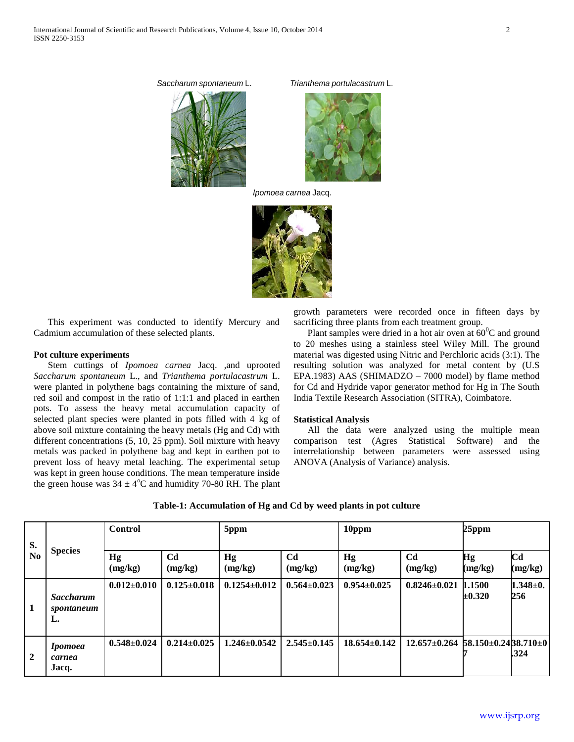*Saccharum spontaneum* L. *Trianthema portulacastrum* L.





*Ipomoea carnea* Jacq.



 This experiment was conducted to identify Mercury and Cadmium accumulation of these selected plants.

## **Pot culture experiments**

 Stem cuttings of *Ipomoea carnea* Jacq. *,*and uprooted *Saccharum spontaneum* L., and *Trianthema portulacastrum* L. were planted in polythene bags containing the mixture of sand, red soil and compost in the ratio of 1:1:1 and placed in earthen pots. To assess the heavy metal accumulation capacity of selected plant species were planted in pots filled with 4 kg of above soil mixture containing the heavy metals (Hg and Cd) with different concentrations (5, 10, 25 ppm). Soil mixture with heavy metals was packed in polythene bag and kept in earthen pot to prevent loss of heavy metal leaching. The experimental setup was kept in green house conditions. The mean temperature inside the green house was  $34 \pm 4^{\circ}$ C and humidity 70-80 RH. The plant growth parameters were recorded once in fifteen days by sacrificing three plants from each treatment group.

Plant samples were dried in a hot air oven at  $60^{\circ}$ C and ground to 20 meshes using a stainless steel Wiley Mill. The ground material was digested using Nitric and Perchloric acids (3:1). The resulting solution was analyzed for metal content by (U.S EPA.1983) AAS (SHIMADZO – 7000 model) by flame method for Cd and Hydride vapor generator method for Hg in The South India Textile Research Association (SITRA), Coimbatore.

## **Statistical Analysis**

 All the data were analyzed using the multiple mean comparison test (Agres Statistical Software) and the interrelationship between parameters were assessed using ANOVA (Analysis of Variance) analysis.

| S.<br>N <sub>0</sub> | <b>Species</b>                       | <b>Control</b>    |                           | 5ppm               |                           | 10ppm              |                                                    | $25$ ppm              |                           |
|----------------------|--------------------------------------|-------------------|---------------------------|--------------------|---------------------------|--------------------|----------------------------------------------------|-----------------------|---------------------------|
|                      |                                      | Hg<br>(mg/kg)     | C <sub>d</sub><br>(mg/kg) | Hg<br>(mg/kg)      | C <sub>d</sub><br>(mg/kg) | Hg<br>(mg/kg)      | C <sub>d</sub><br>(mg/kg)                          | Hg<br>(mg/kg)         | C <sub>d</sub><br>(mg/kg) |
| 1                    | <b>Saccharum</b><br>spontaneum<br>L. | $0.012 \pm 0.010$ | $0.125 \pm 0.018$         | $0.1254 \pm 0.012$ | $0.564 \pm 0.023$         | $0.954 \pm 0.025$  | $0.8246 \pm 0.021$                                 | 1.1500<br>$\pm 0.320$ | $1.348 \pm 0.$<br>256     |
| $\overline{2}$       | <i>Ipomoea</i><br>carnea<br>Jacq.    | $0.548 \pm 0.024$ | $0.214 \pm 0.025$         | $1.246 \pm 0.0542$ | $2.545 \pm 0.145$         | $18.654 \pm 0.142$ | $12.657 \pm 0.264$ 58.150 $\pm$ 0.2438.710 $\pm$ 0 |                       | .324                      |

### **Table-1: Accumulation of Hg and Cd by weed plants in pot culture**